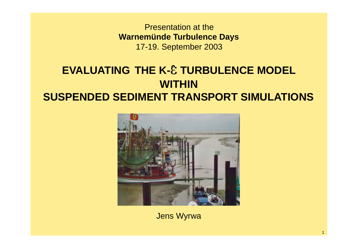Presentation at the **Warnemünde Turbulence Days** 17-19. September 2003

# **EVALUATING THE K-E TURBULENCE MODEL WITHIN SUSPENDED SEDIMENT TRANSPORT SIMULATIONS**



Jens Wyrwa

1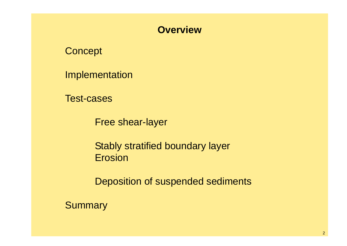### **Overview**

**Concept** 

Implementation

Test-cases

Free shear-layer

Stably stratified boundary layer Erosion

Deposition of suspended sediments

**Summary**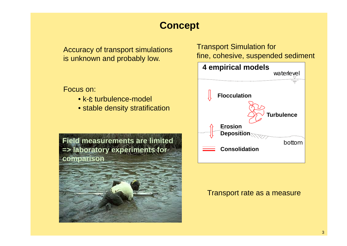# **Concept**

Accuracy of transport simulations is unknown and probably low.

#### Focus on:

- k-e turbulence-model
- stable density stratification



### Transport Simulation for fine, cohesive, suspended sediment



#### Transport rate as a measure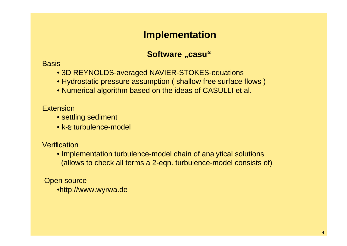### **Implementation**

### **Software "casu"**

#### **Basis**

- 3D REYNOLDS-averaged NAVIER-STOKES-equations
- Hydrostatic pressure assumption ( shallow free surface flows )
- Numerical algorithm based on the ideas of CASULLI et al.

#### **Extension**

- settling sediment
- k-e turbulence-model

#### **Verification**

• Implementation turbulence-model chain of analytical solutions (allows to check all terms a 2-eqn. turbulence-model consists of)

#### Open source •http://www.wyrwa.de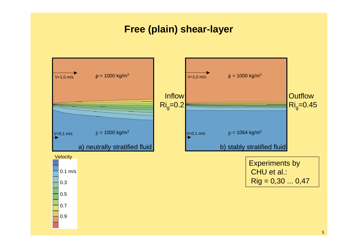### **Free (plain) shear-layer**

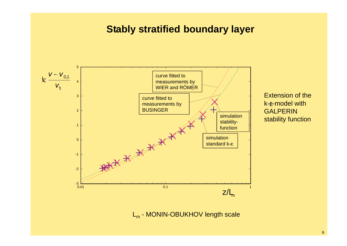### **Stably stratified boundary layer**



stability function

**GALPERIN** 

Extension of the

k-e-model with

L<sub>m</sub> - MONIN-OBUKHOV length scale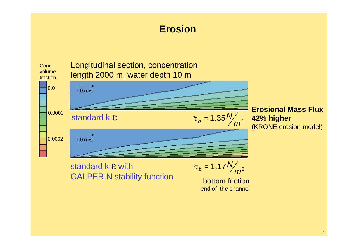## **Erosion**

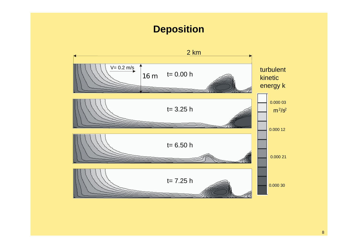## **Deposition**